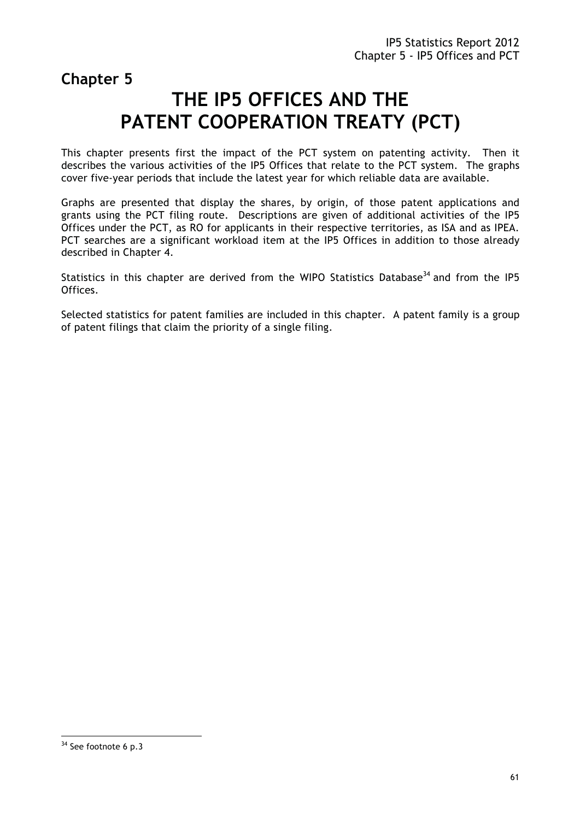**Chapter 5** 

# **THE IP5 OFFICES AND THE PATENT COOPERATION TREATY (PCT)**

This chapter presents first the impact of the PCT system on patenting activity. Then it describes the various activities of the IP5 Offices that relate to the PCT system. The graphs cover five-year periods that include the latest year for which reliable data are available.

Graphs are presented that display the shares, by origin, of those patent applications and grants using the PCT filing route. Descriptions are given of additional activities of the IP5 Offices under the PCT, as RO for applicants in their respective territories, as ISA and as IPEA. PCT searches are a significant workload item at the IP5 Offices in addition to those already described in Chapter 4.

Statistics in this chapter are derived from the WIPO Statistics Database<sup>34</sup> and from the IP5 Offices.

Selected statistics for patent families are included in this chapter. A patent family is a group of patent filings that claim the priority of a single filing.

 $\overline{a}$ 

<sup>&</sup>lt;sup>34</sup> See footnote 6 p.3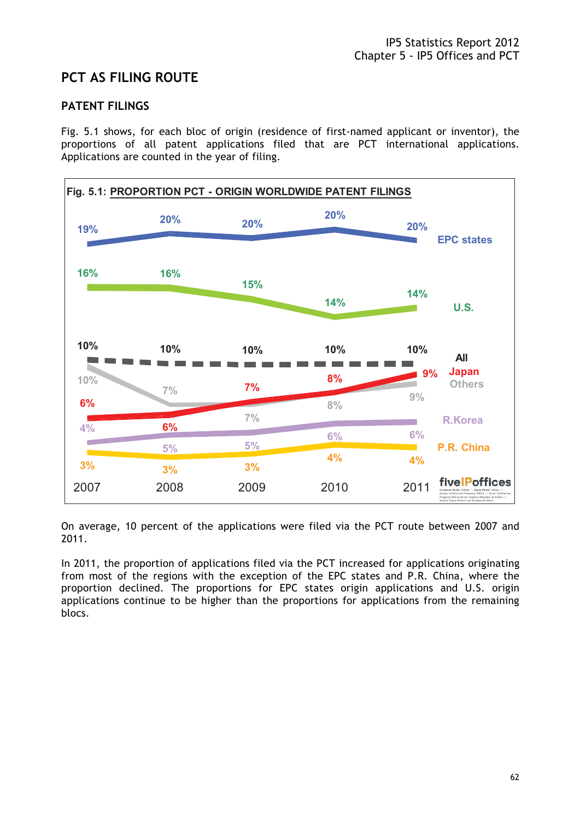# **PCT AS FILING ROUTE**

### **PATENT FILINGS**

Fig. 5.1 shows, for each bloc of origin (residence of first-named applicant or inventor), the proportions of all patent applications filed that are PCT international applications. Applications are counted in the year of filing.



On average, 10 percent of the applications were filed via the PCT route between 2007 and 2011.

In 2011, the proportion of applications filed via the PCT increased for applications originating from most of the regions with the exception of the EPC states and P.R. China, where the proportion declined. The proportions for EPC states origin applications and U.S. origin applications continue to be higher than the proportions for applications from the remaining blocs.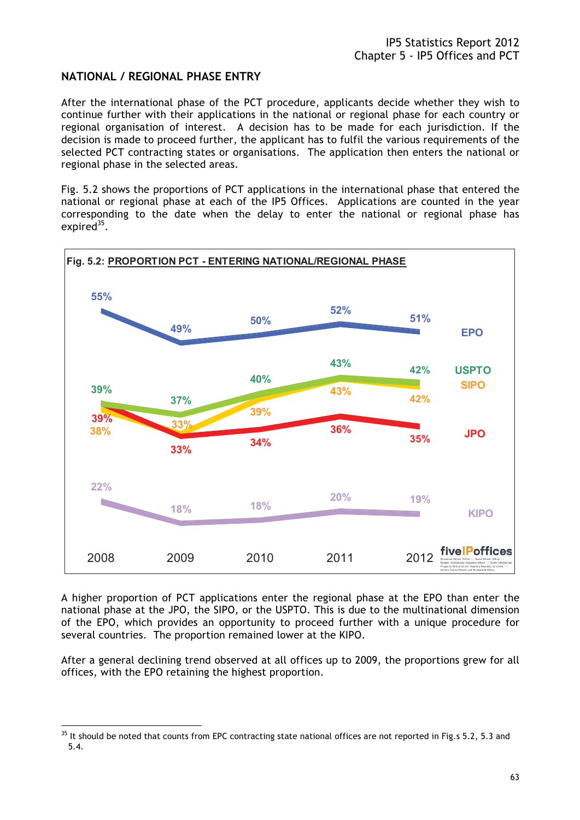#### **NATIONAL / REGIONAL PHASE ENTRY**

After the international phase of the PCT procedure, applicants decide whether they wish to continue further with their applications in the national or regional phase for each country or regional organisation of interest. A decision has to be made for each jurisdiction. If the decision is made to proceed further, the applicant has to fulfil the various requirements of the selected PCT contracting states or organisations. The application then enters the national or regional phase in the selected areas.

Fig. 5.2 shows the proportions of PCT applications in the international phase that entered the national or regional phase at each of the IP5 Offices. Applications are counted in the year corresponding to the date when the delay to enter the national or regional phase has expired $35$ .



A higher proportion of PCT applications enter the regional phase at the EPO than enter the national phase at the JPO, the SIPO, or the USPTO. This is due to the multinational dimension of the EPO, which provides an opportunity to proceed further with a unique procedure for several countries. The proportion remained lower at the KIPO.

After a general declining trend observed at all offices up to 2009, the proportions grew for all offices, with the EPO retaining the highest proportion.

 $\overline{a}$ 

 $35$  It should be noted that counts from EPC contracting state national offices are not reported in Fig.s 5.2, 5.3 and 5.4.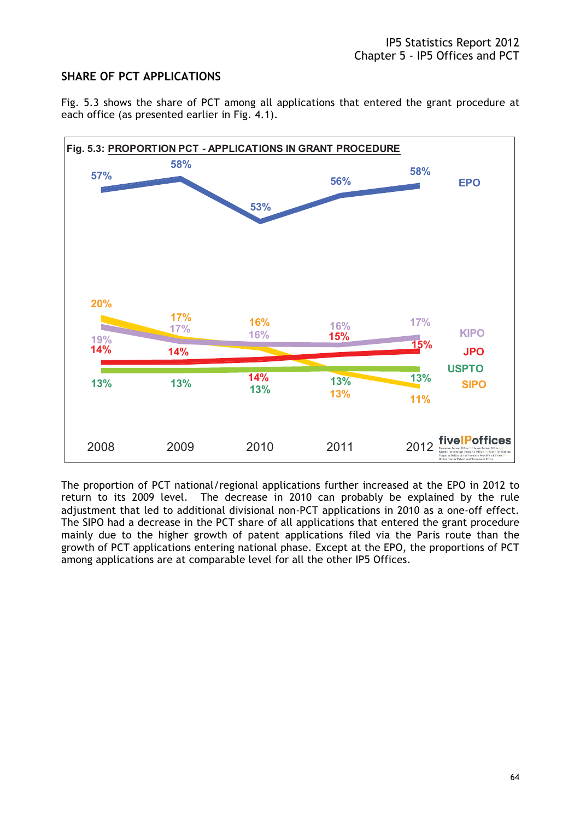# **SHARE OF PCT APPLICATIONS**

Fig. 5.3 shows the share of PCT among all applications that entered the grant procedure at each office (as presented earlier in Fig. 4.1).



The proportion of PCT national/regional applications further increased at the EPO in 2012 to return to its 2009 level. The decrease in 2010 can probably be explained by the rule adjustment that led to additional divisional non-PCT applications in 2010 as a one-off effect. The SIPO had a decrease in the PCT share of all applications that entered the grant procedure mainly due to the higher growth of patent applications filed via the Paris route than the growth of PCT applications entering national phase. Except at the EPO, the proportions of PCT among applications are at comparable level for all the other IP5 Offices.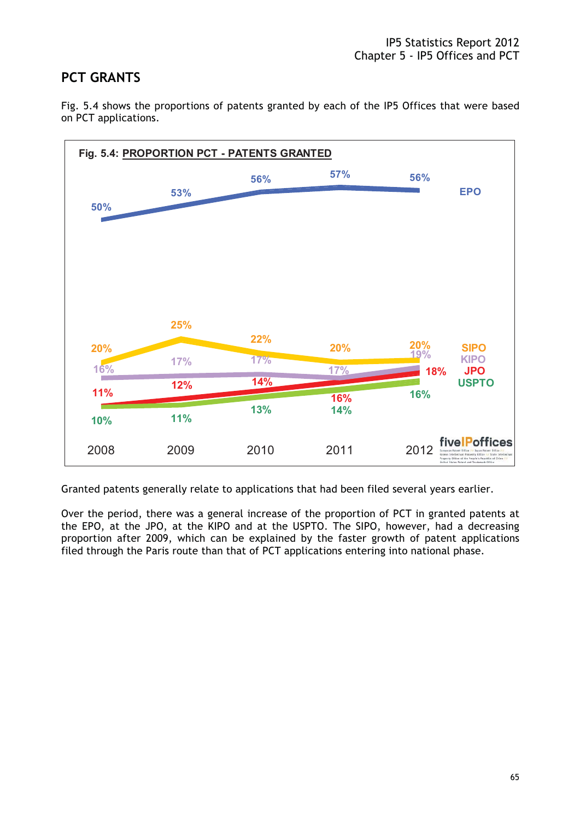### **PCT GRANTS**

Fig. 5.4 shows the proportions of patents granted by each of the IP5 Offices that were based on PCT applications.



Granted patents generally relate to applications that had been filed several years earlier.

Over the period, there was a general increase of the proportion of PCT in granted patents at the EPO, at the JPO, at the KIPO and at the USPTO. The SIPO, however, had a decreasing proportion after 2009, which can be explained by the faster growth of patent applications filed through the Paris route than that of PCT applications entering into national phase.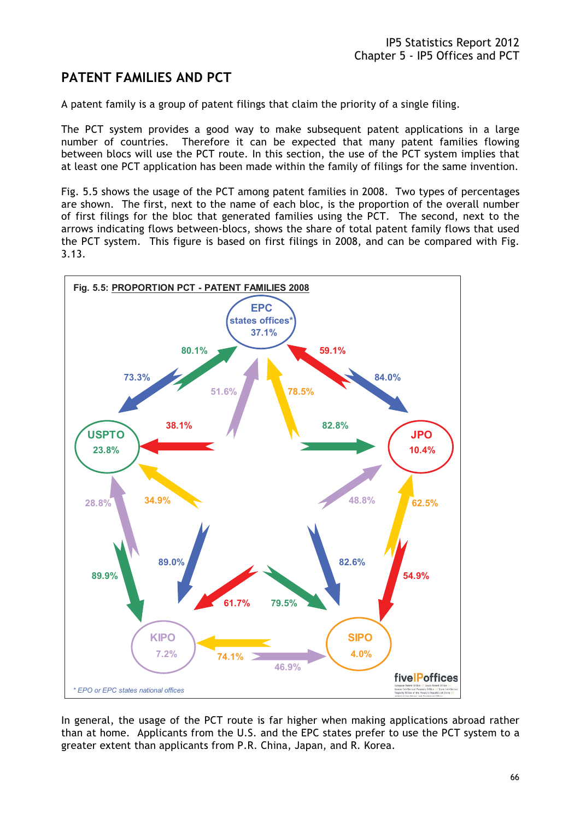# **PATENT FAMILIES AND PCT**

A patent family is a group of patent filings that claim the priority of a single filing.

The PCT system provides a good way to make subsequent patent applications in a large number of countries. Therefore it can be expected that many patent families flowing between blocs will use the PCT route. In this section, the use of the PCT system implies that at least one PCT application has been made within the family of filings for the same invention.

Fig. 5.5 shows the usage of the PCT among patent families in 2008. Two types of percentages are shown. The first, next to the name of each bloc, is the proportion of the overall number of first filings for the bloc that generated families using the PCT. The second, next to the arrows indicating flows between-blocs, shows the share of total patent family flows that used the PCT system. This figure is based on first filings in 2008, and can be compared with Fig. 3.13.



In general, the usage of the PCT route is far higher when making applications abroad rather than at home. Applicants from the U.S. and the EPC states prefer to use the PCT system to a greater extent than applicants from P.R. China, Japan, and R. Korea.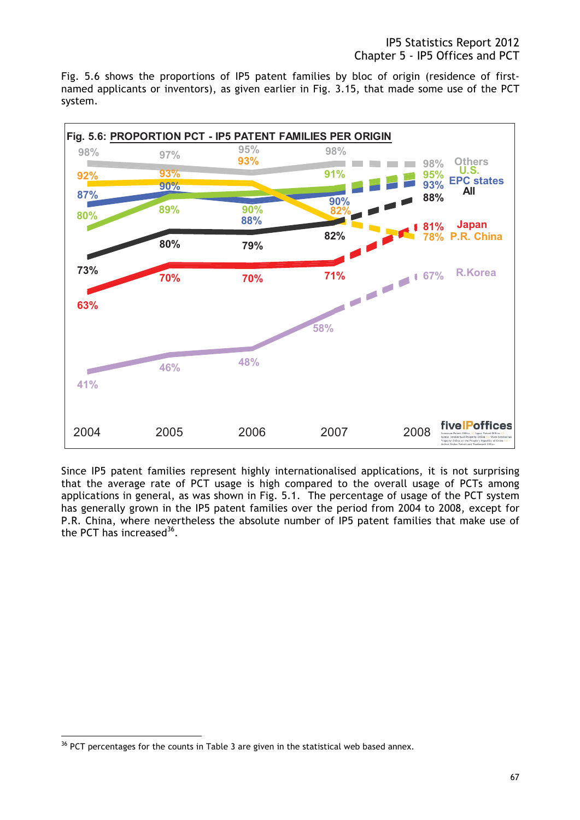Fig. 5.6 shows the proportions of IP5 patent families by bloc of origin (residence of firstnamed applicants or inventors), as given earlier in Fig. 3.15, that made some use of the PCT system.



Since IP5 patent families represent highly internationalised applications, it is not surprising that the average rate of PCT usage is high compared to the overall usage of PCTs among applications in general, as was shown in Fig. 5.1. The percentage of usage of the PCT system has generally grown in the IP5 patent families over the period from 2004 to 2008, except for P.R. China, where nevertheless the absolute number of IP5 patent families that make use of the PCT has increased  $36$ .

 $\overline{a}$ 

<sup>&</sup>lt;sup>36</sup> PCT percentages for the counts in Table 3 are given in the statistical web based annex.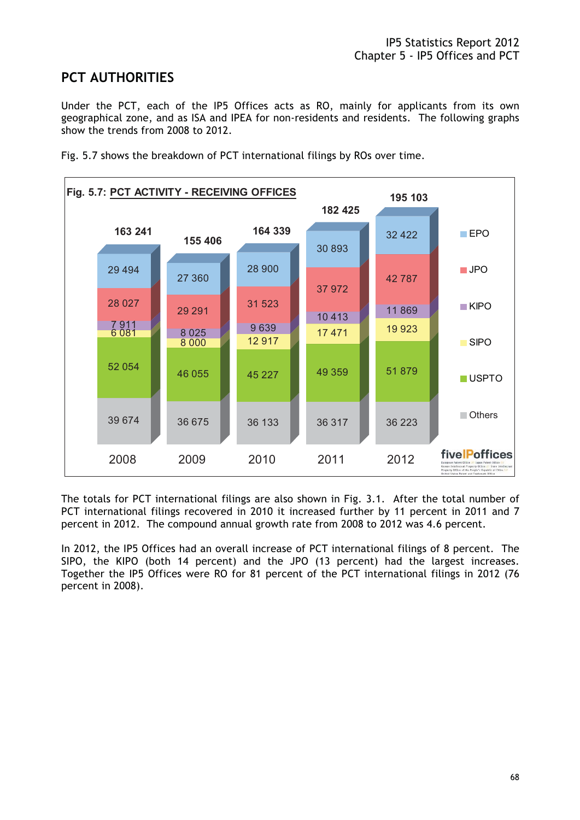# **PCT AUTHORITIES**

Under the PCT, each of the IP5 Offices acts as RO, mainly for applicants from its own geographical zone, and as ISA and IPEA for non-residents and residents. The following graphs show the trends from 2008 to 2012.



Fig. 5.7 shows the breakdown of PCT international filings by ROs over time.

The totals for PCT international filings are also shown in Fig. 3.1. After the total number of PCT international filings recovered in 2010 it increased further by 11 percent in 2011 and 7 percent in 2012. The compound annual growth rate from 2008 to 2012 was 4.6 percent.

In 2012, the IP5 Offices had an overall increase of PCT international filings of 8 percent. The SIPO, the KIPO (both 14 percent) and the JPO (13 percent) had the largest increases. Together the IP5 Offices were RO for 81 percent of the PCT international filings in 2012 (76 percent in 2008).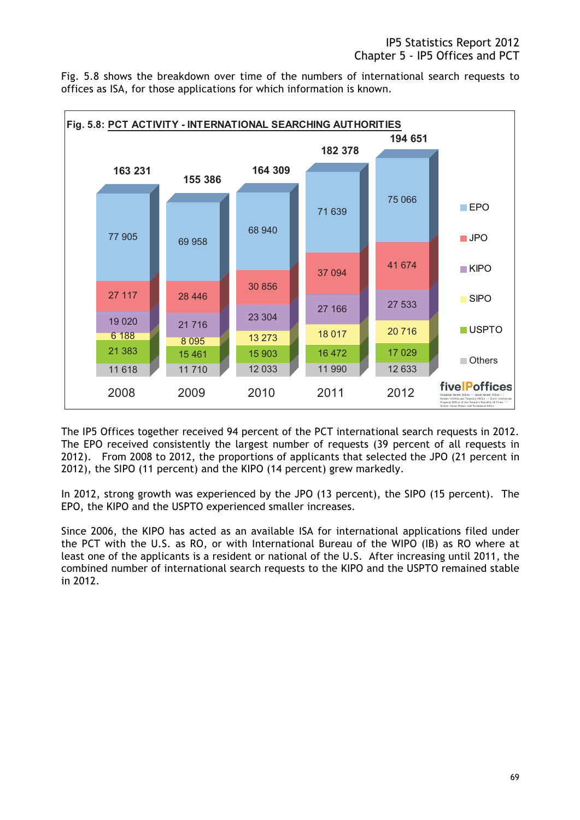Fig. 5.8 shows the breakdown over time of the numbers of international search requests to offices as ISA, for those applications for which information is known.



The IP5 Offices together received 94 percent of the PCT international search requests in 2012. The EPO received consistently the largest number of requests (39 percent of all requests in 2012). From 2008 to 2012, the proportions of applicants that selected the JPO (21 percent in 2012), the SIPO (11 percent) and the KIPO (14 percent) grew markedly.

In 2012, strong growth was experienced by the JPO (13 percent), the SIPO (15 percent). The EPO, the KIPO and the USPTO experienced smaller increases.

Since 2006, the KIPO has acted as an available ISA for international applications filed under the PCT with the U.S. as RO, or with International Bureau of the WIPO (IB) as RO where at least one of the applicants is a resident or national of the U.S. After increasing until 2011, the combined number of international search requests to the KIPO and the USPTO remained stable in 2012.